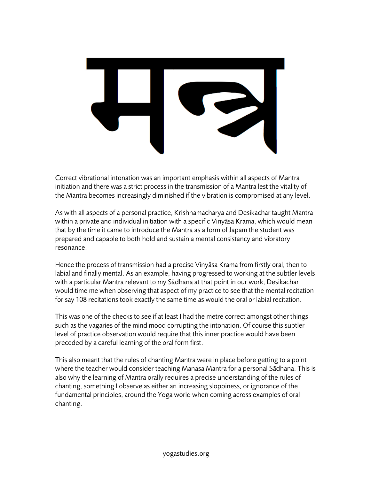

Correct vibrational intonation was an important emphasis within all aspects of Mantra initiation and there was a strict process in the transmission of a Mantra lest the vitality of the Mantra becomes increasingly diminished if the vibration is compromised at any level.

As with all aspects of a personal practice, Krishnamacharya and Desikachar taught Mantra within a private and individual initiation with a specific Vinyāsa Krama, which would mean that by the time it came to introduce the Mantra as a form of Japam the student was prepared and capable to both hold and sustain a mental consistancy and vibratory resonance.

Hence the process of transmission had a precise Vinyāsa Krama from firstly oral, then to labial and finally mental. As an example, having progressed to working at the subtler levels with a particular Mantra relevant to my Sādhana at that point in our work, Desikachar would time me when observing that aspect of my practice to see that the mental recitation for say 108 recitations took exactly the same time as would the oral or labial recitation.

This was one of the checks to see if at least I had the metre correct amongst other things such as the vagaries of the mind mood corrupting the intonation. Of course this subtler level of practice observation would require that this inner practice would have been preceded by a careful learning of the oral form first.

This also meant that the rules of chanting Mantra were in place before getting to a point where the teacher would consider teaching Manasa Mantra for a personal Sādhana. This is also why the learning of Mantra orally requires a precise understanding of the rules of chanting, something I observe as either an increasing sloppiness, or ignorance of the fundamental principles, around the Yoga world when coming across examples of oral chanting.